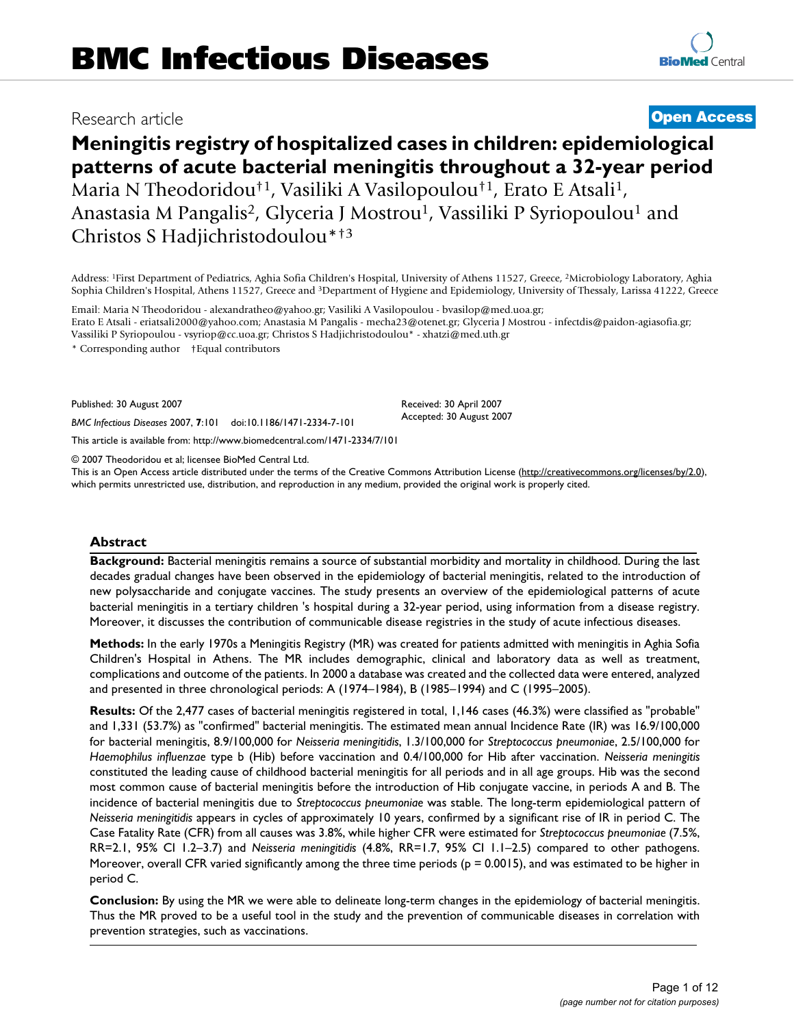# Research article **[Open Access](http://www.biomedcentral.com/info/about/charter/)**

**Meningitis registry of hospitalized cases in children: epidemiological patterns of acute bacterial meningitis throughout a 32-year period** Maria N Theodoridou†1, Vasiliki A Vasilopoulou†1, Erato E Atsali1, Anastasia M Pangalis<sup>2</sup>, Glyceria J Mostrou<sup>1</sup>, Vassiliki P Syriopoulou<sup>1</sup> and Christos S Hadjichristodoulou\*†3

Address: 1First Department of Pediatrics, Aghia Sofia Children's Hospital, University of Athens 11527, Greece, 2Microbiology Laboratory, Aghia Sophia Children's Hospital, Athens 11527, Greece and 3Department of Hygiene and Epidemiology, University of Thessaly, Larissa 41222, Greece

Email: Maria N Theodoridou - alexandratheo@yahoo.gr; Vasiliki A Vasilopoulou - bvasilop@med.uoa.gr; Erato E Atsali - eriatsali2000@yahoo.com; Anastasia M Pangalis - mecha23@otenet.gr; Glyceria J Mostrou - infectdis@paidon-agiasofia.gr; Vassiliki P Syriopoulou - vsyriop@cc.uoa.gr; Christos S Hadjichristodoulou\* - xhatzi@med.uth.gr

\* Corresponding author †Equal contributors

Published: 30 August 2007

*BMC Infectious Diseases* 2007, **7**:101 doi:10.1186/1471-2334-7-101

[This article is available from: http://www.biomedcentral.com/1471-2334/7/101](http://www.biomedcentral.com/1471-2334/7/101)

© 2007 Theodoridou et al; licensee BioMed Central Ltd.

This is an Open Access article distributed under the terms of the Creative Commons Attribution License [\(http://creativecommons.org/licenses/by/2.0\)](http://creativecommons.org/licenses/by/2.0), which permits unrestricted use, distribution, and reproduction in any medium, provided the original work is properly cited.

Received: 30 April 2007 Accepted: 30 August 2007

## **Abstract**

**Background:** Bacterial meningitis remains a source of substantial morbidity and mortality in childhood. During the last decades gradual changes have been observed in the epidemiology of bacterial meningitis, related to the introduction of new polysaccharide and conjugate vaccines. The study presents an overview of the epidemiological patterns of acute bacterial meningitis in a tertiary children 's hospital during a 32-year period, using information from a disease registry. Moreover, it discusses the contribution of communicable disease registries in the study of acute infectious diseases.

**Methods:** In the early 1970s a Meningitis Registry (MR) was created for patients admitted with meningitis in Aghia Sofia Children's Hospital in Athens. The MR includes demographic, clinical and laboratory data as well as treatment, complications and outcome of the patients. In 2000 a database was created and the collected data were entered, analyzed and presented in three chronological periods: A (1974–1984), B (1985–1994) and C (1995–2005).

**Results:** Of the 2,477 cases of bacterial meningitis registered in total, 1,146 cases (46.3%) were classified as "probable" and 1,331 (53.7%) as "confirmed" bacterial meningitis. The estimated mean annual Incidence Rate (IR) was 16.9/100,000 for bacterial meningitis, 8.9/100,000 for *Neisseria meningitidis*, 1.3/100,000 for *Streptococcus pneumoniae*, 2.5/100,000 for *Haemophilus influenzae* type b (Hib) before vaccination and 0.4/100,000 for Hib after vaccination. *Neisseria meningitis* constituted the leading cause of childhood bacterial meningitis for all periods and in all age groups. Hib was the second most common cause of bacterial meningitis before the introduction of Hib conjugate vaccine, in periods A and B. The incidence of bacterial meningitis due to *Streptococcus pneumoniae* was stable. The long-term epidemiological pattern of *Neisseria meningitidis* appears in cycles of approximately 10 years, confirmed by a significant rise of IR in period C. The Case Fatality Rate (CFR) from all causes was 3.8%, while higher CFR were estimated for *Streptococcus pneumoniae* (7.5%, RR=2.1, 95% CI 1.2–3.7) and *Neisseria meningitidis* (4.8%, RR=1.7, 95% CI 1.1–2.5) compared to other pathogens. Moreover, overall CFR varied significantly among the three time periods ( $p = 0.0015$ ), and was estimated to be higher in period C.

**Conclusion:** By using the MR we were able to delineate long-term changes in the epidemiology of bacterial meningitis. Thus the MR proved to be a useful tool in the study and the prevention of communicable diseases in correlation with prevention strategies, such as vaccinations.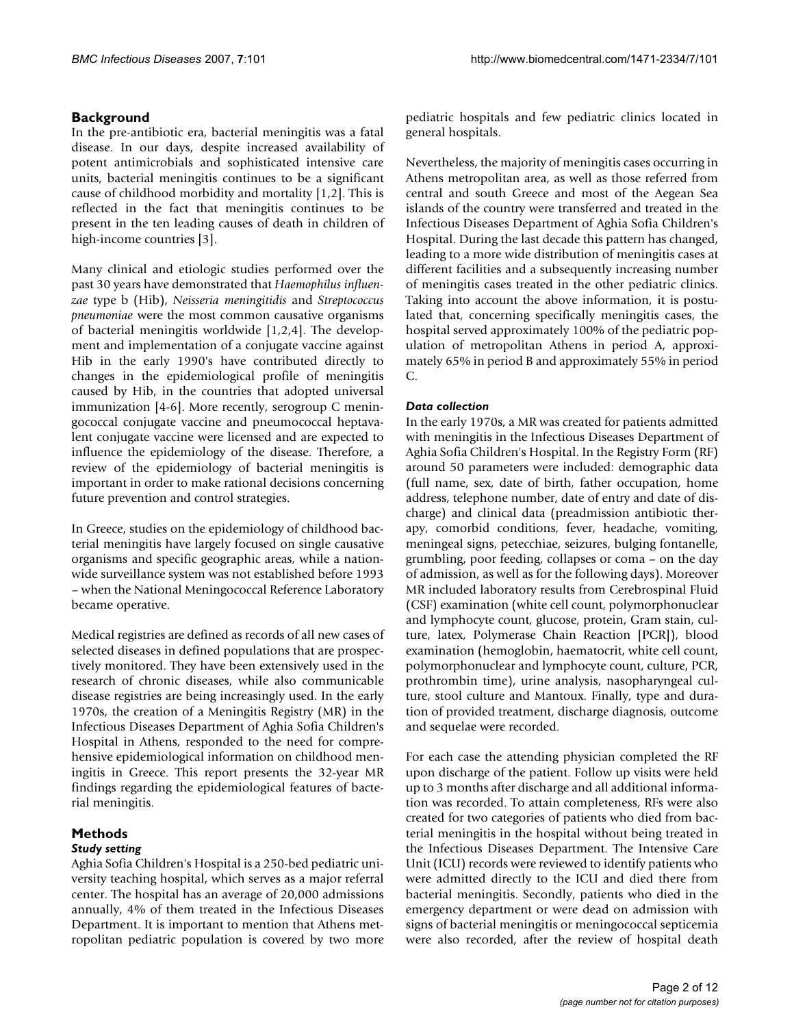# **Background**

In the pre-antibiotic era, bacterial meningitis was a fatal disease. In our days, despite increased availability of potent antimicrobials and sophisticated intensive care units, bacterial meningitis continues to be a significant cause of childhood morbidity and mortality [1,2]. This is reflected in the fact that meningitis continues to be present in the ten leading causes of death in children of high-income countries [3].

Many clinical and etiologic studies performed over the past 30 years have demonstrated that *Haemophilus influenzae* type b (Hib), *Neisseria meningitidis* and *Streptococcus pneumoniae* were the most common causative organisms of bacterial meningitis worldwide [1,2,4]. The development and implementation of a conjugate vaccine against Hib in the early 1990's have contributed directly to changes in the epidemiological profile of meningitis caused by Hib, in the countries that adopted universal immunization [4-6]. More recently, serogroup C meningococcal conjugate vaccine and pneumococcal heptavalent conjugate vaccine were licensed and are expected to influence the epidemiology of the disease. Therefore, a review of the epidemiology of bacterial meningitis is important in order to make rational decisions concerning future prevention and control strategies.

In Greece, studies on the epidemiology of childhood bacterial meningitis have largely focused on single causative organisms and specific geographic areas, while a nationwide surveillance system was not established before 1993 – when the National Meningococcal Reference Laboratory became operative.

Medical registries are defined as records of all new cases of selected diseases in defined populations that are prospectively monitored. They have been extensively used in the research of chronic diseases, while also communicable disease registries are being increasingly used. In the early 1970s, the creation of a Meningitis Registry (MR) in the Infectious Diseases Department of Aghia Sofia Children's Hospital in Athens, responded to the need for comprehensive epidemiological information on childhood meningitis in Greece. This report presents the 32-year MR findings regarding the epidemiological features of bacterial meningitis.

#### **Methods** *Study setting*

# Aghia Sofia Children's Hospital is a 250-bed pediatric university teaching hospital, which serves as a major referral center. The hospital has an average of 20,000 admissions annually, 4% of them treated in the Infectious Diseases Department. It is important to mention that Athens metropolitan pediatric population is covered by two more

pediatric hospitals and few pediatric clinics located in general hospitals.

Nevertheless, the majority of meningitis cases occurring in Athens metropolitan area, as well as those referred from central and south Greece and most of the Aegean Sea islands of the country were transferred and treated in the Infectious Diseases Department of Aghia Sofia Children's Hospital. During the last decade this pattern has changed, leading to a more wide distribution of meningitis cases at different facilities and a subsequently increasing number of meningitis cases treated in the other pediatric clinics. Taking into account the above information, it is postulated that, concerning specifically meningitis cases, the hospital served approximately 100% of the pediatric population of metropolitan Athens in period A, approximately 65% in period B and approximately 55% in period C.

# *Data collection*

In the early 1970s, a MR was created for patients admitted with meningitis in the Infectious Diseases Department of Aghia Sofia Children's Hospital. In the Registry Form (RF) around 50 parameters were included: demographic data (full name, sex, date of birth, father occupation, home address, telephone number, date of entry and date of discharge) and clinical data (preadmission antibiotic therapy, comorbid conditions, fever, headache, vomiting, meningeal signs, petecchiae, seizures, bulging fontanelle, grumbling, poor feeding, collapses or coma – on the day of admission, as well as for the following days). Moreover MR included laboratory results from Cerebrospinal Fluid (CSF) examination (white cell count, polymorphonuclear and lymphocyte count, glucose, protein, Gram stain, culture, latex, Polymerase Chain Reaction [PCR]), blood examination (hemoglobin, haematocrit, white cell count, polymorphonuclear and lymphocyte count, culture, PCR, prothrombin time), urine analysis, nasopharyngeal culture, stool culture and Mantoux. Finally, type and duration of provided treatment, discharge diagnosis, outcome and sequelae were recorded.

For each case the attending physician completed the RF upon discharge of the patient. Follow up visits were held up to 3 months after discharge and all additional information was recorded. To attain completeness, RFs were also created for two categories of patients who died from bacterial meningitis in the hospital without being treated in the Infectious Diseases Department. The Intensive Care Unit (ICU) records were reviewed to identify patients who were admitted directly to the ICU and died there from bacterial meningitis. Secondly, patients who died in the emergency department or were dead on admission with signs of bacterial meningitis or meningococcal septicemia were also recorded, after the review of hospital death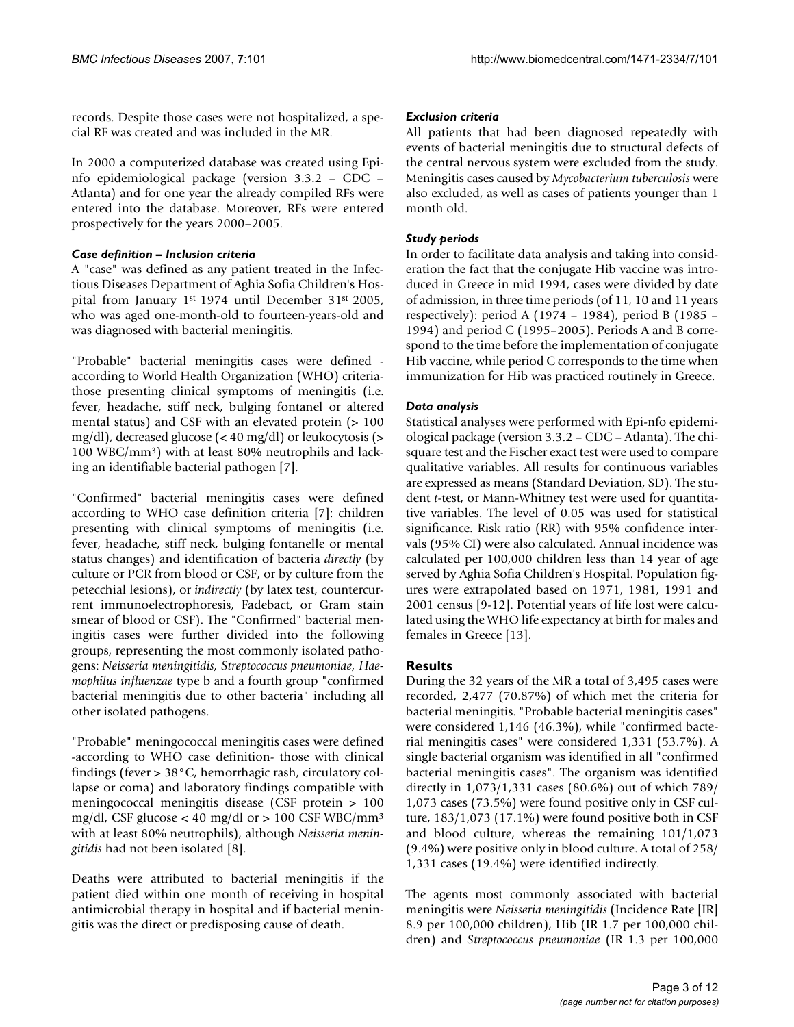records. Despite those cases were not hospitalized, a special RF was created and was included in the MR.

In 2000 a computerized database was created using Epinfo epidemiological package (version 3.3.2 – CDC – Atlanta) and for one year the already compiled RFs were entered into the database. Moreover, RFs were entered prospectively for the years 2000–2005.

#### *Case definition – Inclusion criteria*

A "case" was defined as any patient treated in the Infectious Diseases Department of Aghia Sofia Children's Hospital from January 1st 1974 until December 31st 2005, who was aged one-month-old to fourteen-years-old and was diagnosed with bacterial meningitis.

"Probable" bacterial meningitis cases were defined according to World Health Organization (WHO) criteriathose presenting clinical symptoms of meningitis (i.e. fever, headache, stiff neck, bulging fontanel or altered mental status) and CSF with an elevated protein (> 100 mg/dl), decreased glucose (< 40 mg/dl) or leukocytosis (> 100 WBC/mm3) with at least 80% neutrophils and lacking an identifiable bacterial pathogen [7].

"Confirmed" bacterial meningitis cases were defined according to WHO case definition criteria [7]: children presenting with clinical symptoms of meningitis (i.e. fever, headache, stiff neck, bulging fontanelle or mental status changes) and identification of bacteria *directly* (by culture or PCR from blood or CSF, or by culture from the petecchial lesions), or *indirectly* (by latex test, countercurrent immunoelectrophoresis, Fadebact, or Gram stain smear of blood or CSF). The "Confirmed" bacterial meningitis cases were further divided into the following groups, representing the most commonly isolated pathogens: *Neisseria meningitidis, Streptococcus pneumoniae, Haemophilus influenzae* type b and a fourth group "confirmed bacterial meningitis due to other bacteria" including all other isolated pathogens.

"Probable" meningococcal meningitis cases were defined -according to WHO case definition- those with clinical findings (fever > 38°C, hemorrhagic rash, circulatory collapse or coma) and laboratory findings compatible with meningococcal meningitis disease (CSF protein > 100 mg/dl, CSF glucose < 40 mg/dl or > 100 CSF WBC/mm3 with at least 80% neutrophils), although *Neisseria meningitidis* had not been isolated [8].

Deaths were attributed to bacterial meningitis if the patient died within one month of receiving in hospital antimicrobial therapy in hospital and if bacterial meningitis was the direct or predisposing cause of death.

#### *Exclusion criteria*

All patients that had been diagnosed repeatedly with events of bacterial meningitis due to structural defects of the central nervous system were excluded from the study. Meningitis cases caused by *Mycobacterium tuberculosis* were also excluded, as well as cases of patients younger than 1 month old.

#### *Study periods*

In order to facilitate data analysis and taking into consideration the fact that the conjugate Hib vaccine was introduced in Greece in mid 1994, cases were divided by date of admission, in three time periods (of 11, 10 and 11 years respectively): period A (1974 – 1984), period B (1985 – 1994) and period C (1995–2005). Periods A and B correspond to the time before the implementation of conjugate Hib vaccine, while period C corresponds to the time when immunization for Hib was practiced routinely in Greece.

#### *Data analysis*

Statistical analyses were performed with Epi-nfo epidemiological package (version 3.3.2 – CDC – Atlanta). The chisquare test and the Fischer exact test were used to compare qualitative variables. All results for continuous variables are expressed as means (Standard Deviation, SD). The student *t*-test, or Mann-Whitney test were used for quantitative variables. The level of 0.05 was used for statistical significance. Risk ratio (RR) with 95% confidence intervals (95% CI) were also calculated. Annual incidence was calculated per 100,000 children less than 14 year of age served by Aghia Sofia Children's Hospital. Population figures were extrapolated based on 1971, 1981, 1991 and 2001 census [9-12]. Potential years of life lost were calculated using the WHO life expectancy at birth for males and females in Greece [13].

## **Results**

During the 32 years of the MR a total of 3,495 cases were recorded, 2,477 (70.87%) of which met the criteria for bacterial meningitis. "Probable bacterial meningitis cases" were considered 1,146 (46.3%), while "confirmed bacterial meningitis cases" were considered 1,331 (53.7%). A single bacterial organism was identified in all "confirmed bacterial meningitis cases". The organism was identified directly in 1,073/1,331 cases (80.6%) out of which 789/ 1,073 cases (73.5%) were found positive only in CSF culture, 183/1,073 (17.1%) were found positive both in CSF and blood culture, whereas the remaining 101/1,073 (9.4%) were positive only in blood culture. A total of 258/ 1,331 cases (19.4%) were identified indirectly.

The agents most commonly associated with bacterial meningitis were *Neisseria meningitidis* (Incidence Rate [IR] 8.9 per 100,000 children), Hib (IR 1.7 per 100,000 children) and *Streptococcus pneumoniae* (IR 1.3 per 100,000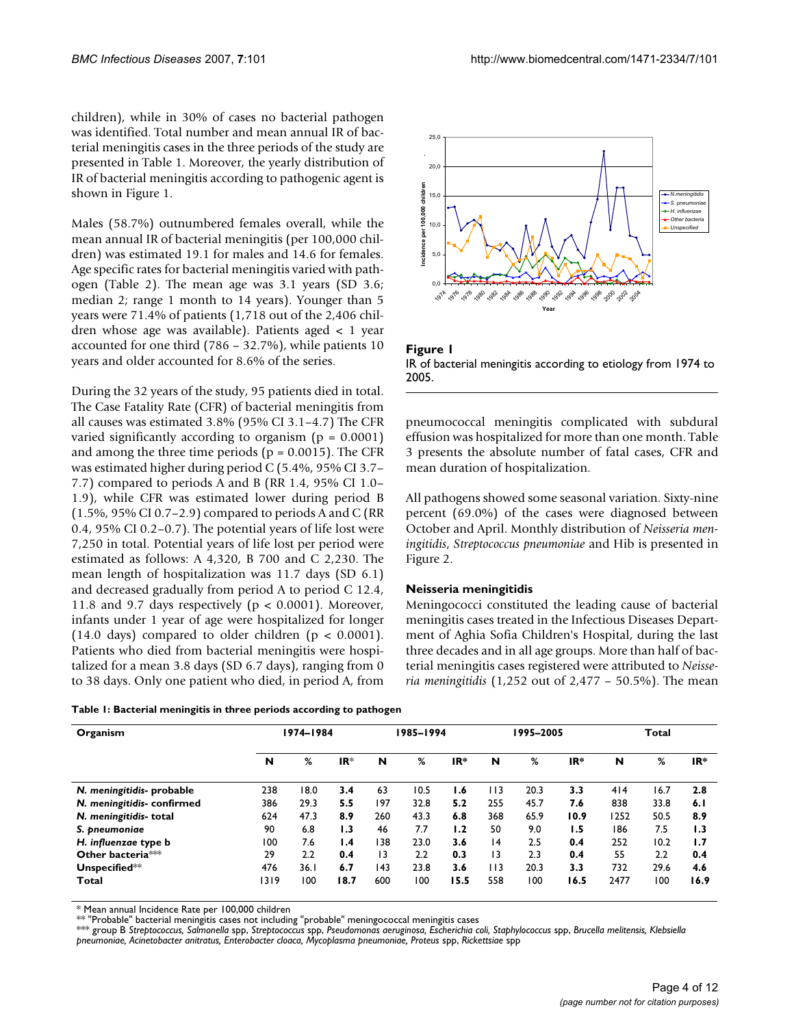children), while in 30% of cases no bacterial pathogen was identified. Total number and mean annual IR of bacterial meningitis cases in the three periods of the study are presented in Table 1. Moreover, the yearly distribution of IR of bacterial meningitis according to pathogenic agent is shown in Figure 1.

Males (58.7%) outnumbered females overall, while the mean annual IR of bacterial meningitis (per 100,000 children) was estimated 19.1 for males and 14.6 for females. Age specific rates for bacterial meningitis varied with pathogen (Table 2). The mean age was 3.1 years (SD 3.6; median 2; range 1 month to 14 years). Younger than 5 years were 71.4% of patients (1,718 out of the 2,406 children whose age was available). Patients aged < 1 year accounted for one third (786 – 32.7%), while patients 10 years and older accounted for 8.6% of the series.

During the 32 years of the study, 95 patients died in total. The Case Fatality Rate (CFR) of bacterial meningitis from all causes was estimated 3.8% (95% CI 3.1–4.7) The CFR varied significantly according to organism ( $p = 0.0001$ ) and among the three time periods ( $p = 0.0015$ ). The CFR was estimated higher during period C (5.4%, 95% CI 3.7– 7.7) compared to periods A and B (RR 1.4, 95% CI 1.0– 1.9), while CFR was estimated lower during period B (1.5%, 95% CI 0.7–2.9) compared to periods A and C (RR 0.4, 95% CI 0.2–0.7). The potential years of life lost were 7,250 in total. Potential years of life lost per period were estimated as follows: A 4,320, B 700 and C 2,230. The mean length of hospitalization was 11.7 days (SD 6.1) and decreased gradually from period A to period C 12.4, 11.8 and 9.7 days respectively ( $p < 0.0001$ ). Moreover, infants under 1 year of age were hospitalized for longer (14.0 days) compared to older children ( $p < 0.0001$ ). Patients who died from bacterial meningitis were hospitalized for a mean 3.8 days (SD 6.7 days), ranging from 0 to 38 days. Only one patient who died, in period A, from





pneumococcal meningitis complicated with subdural effusion was hospitalized for more than one month. Table 3 presents the absolute number of fatal cases, CFR and mean duration of hospitalization.

All pathogens showed some seasonal variation. Sixty-nine percent (69.0%) of the cases were diagnosed between October and April. Monthly distribution of *Neisseria meningitidis*, *Streptococcus pneumoniae* and Hib is presented in Figure 2.

#### **Neisseria meningitidis**

Meningococci constituted the leading cause of bacterial meningitis cases treated in the Infectious Diseases Department of Aghia Sofia Children's Hospital, during the last three decades and in all age groups. More than half of bacterial meningitis cases registered were attributed to *Neisseria meningitidis* (1,252 out of 2,477 – 50.5%). The mean

| Organism                  | 1974-1984 |      |        | 1985-1994 |      |      | 1995-2005 |      |      | Total |      |      |
|---------------------------|-----------|------|--------|-----------|------|------|-----------|------|------|-------|------|------|
|                           | N         | %    | $IR^*$ | N         | %    | IR*  | N         | %    | IR*  | N     | %    | IR*  |
| N. meningitidis- probable | 238       | 18.0 | 3.4    | 63        | 10.5 | 1.6  | 113       | 20.3 | 3.3  | 414   | 16.7 | 2.8  |
| N. meningitidis-confirmed | 386       | 29.3 | 5.5    | 197       | 32.8 | 5.2  | 255       | 45.7 | 7.6  | 838   | 33.8 | 6.1  |
| N. meningitidis- total    | 624       | 47.3 | 8.9    | 260       | 43.3 | 6.8  | 368       | 65.9 | 10.9 | 1252  | 50.5 | 8.9  |
| S. pneumoniae             | 90        | 6.8  | 1.3    | 46        | 7.7  | 1.2  | 50        | 9.0  | 1.5  | 186   | 7.5  | 1.3  |
| H. influenzae type b      | 100       | 7.6  | 1.4    | 138       | 23.0 | 3.6  | 14        | 2.5  | 0.4  | 252   | 10.2 | 1.7  |
| Other bacteria***         | 29        | 2.2  | 0.4    | 13        | 2.2  | 0.3  | 13        | 2.3  | 0.4  | 55    | 2.2  | 0.4  |
| Unspecified**             | 476       | 36.I | 6.7    | 143       | 23.8 | 3.6  | 113       | 20.3 | 3.3  | 732   | 29.6 | 4.6  |
| Total                     | 1319      | 100  | 18.7   | 600       | 100  | 15.5 | 558       | 100  | 16.5 | 2477  | 100  | 16.9 |

\* Mean annual Incidence Rate per 100,000 children

\*\* "Probable" bacterial meningitis cases not including "probable" meningococcal meningitis cases

\*\*\* group B *Streptococcus, Salmonella* spp, *Streptococcus* spp, *Pseudomonas aeruginosa, Escherichia coli, Staphylococcus* spp, *Brucella melitensis, Klebsiella* 

*pneumoniae, Acinetobacter anitratus, Enterobacter cloaca, Mycoplasma pneumoniae, Proteus* spp, *Rickettsiae* spp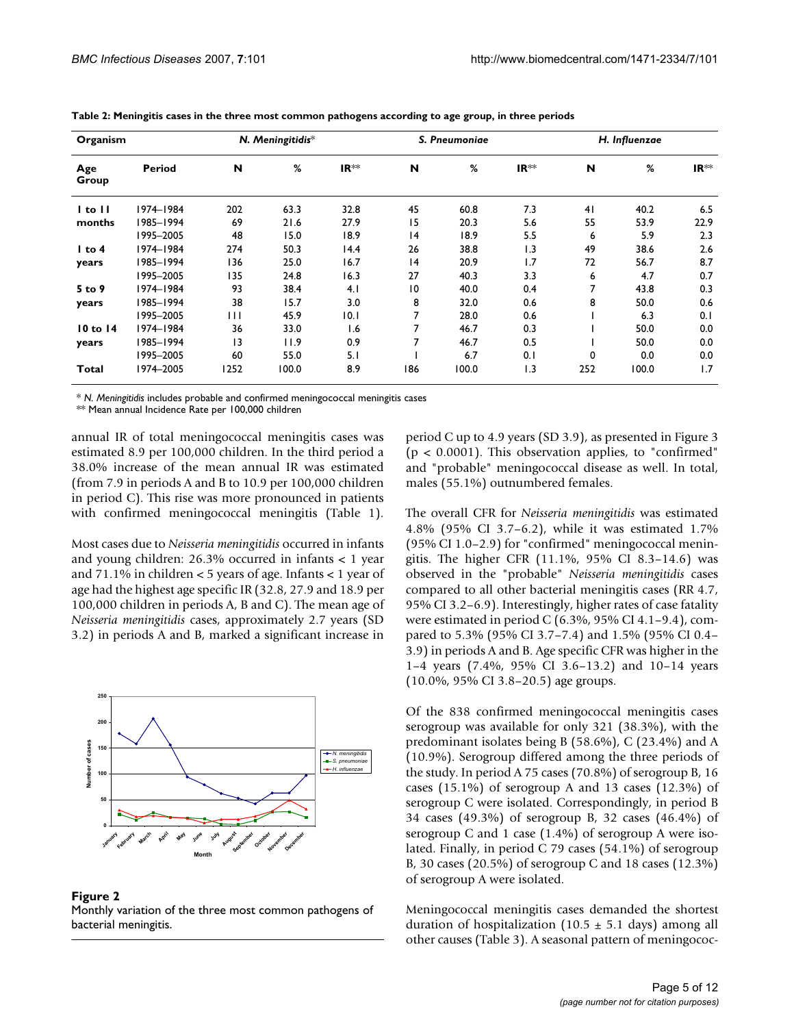| Organism       |               | N. Meningitidis* |       |                 | S. Pneumoniae   |       |                  | H. Influenzae |       |                 |
|----------------|---------------|------------------|-------|-----------------|-----------------|-------|------------------|---------------|-------|-----------------|
| Age<br>Group   | <b>Period</b> | N                | %     | $IR^{\ast\ast}$ | N               | %     | $IR^*$           | N             | %     | $IR^{\ast\ast}$ |
| $l$ to $l$ $l$ | 1974-1984     | 202              | 63.3  | 32.8            | 45              | 60.8  | 7.3              | 41            | 40.2  | 6.5             |
| months         | 1985–1994     | 69               | 21.6  | 27.9            | 15              | 20.3  | 5.6              | 55            | 53.9  | 22.9            |
|                | 1995-2005     | 48               | 15.0  | 18.9            | 4               | 18.9  | 5.5              | 6             | 5.9   | 2.3             |
| $l$ to 4       | 1974–1984     | 274              | 50.3  | 14.4            | 26              | 38.8  | $\overline{1.3}$ | 49            | 38.6  | 2.6             |
| years          | 1985–1994     | 136              | 25.0  | 16.7            | 4               | 20.9  | 1.7              | 72            | 56.7  | 8.7             |
|                | 1995-2005     | 135              | 24.8  | 16.3            | 27              | 40.3  | 3.3              | 6             | 4.7   | 0.7             |
| $5$ to $9$     | 1974–1984     | 93               | 38.4  | 4.1             | $\overline{10}$ | 40.0  | 0.4              | 7             | 43.8  | 0.3             |
| years          | 1985–1994     | 38               | 15.7  | 3.0             | 8               | 32.0  | 0.6              | 8             | 50.0  | 0.6             |
|                | 1995-2005     | Ш                | 45.9  | 10.1            | 7               | 28.0  | 0.6              |               | 6.3   | 0.1             |
| 10 to 14       | 1974–1984     | 36               | 33.0  | 1.6             | 7               | 46.7  | 0.3              |               | 50.0  | 0.0             |
| years          | 1985–1994     | 13               | I I.9 | 0.9             | 7               | 46.7  | 0.5              |               | 50.0  | 0.0             |
|                | 1995–2005     | 60               | 55.0  | 5.1             |                 | 6.7   | 0.1              | 0             | 0.0   | 0.0             |
| Total          | 1974–2005     | 1252             | 100.0 | 8.9             | 186             | 100.0 | 1.3              | 252           | 100.0 | 1.7             |

**Table 2: Meningitis cases in the three most common pathogens according to age group, in three periods**

\* *N. Meningitidis* includes probable and confirmed meningococcal meningitis cases

\*\* Mean annual Incidence Rate per 100,000 children

annual IR of total meningococcal meningitis cases was estimated 8.9 per 100,000 children. In the third period a 38.0% increase of the mean annual IR was estimated (from 7.9 in periods A and B to 10.9 per 100,000 children in period C). This rise was more pronounced in patients with confirmed meningococcal meningitis (Table 1).

Most cases due to *Neisseria meningitidis* occurred in infants and young children: 26.3% occurred in infants < 1 year and 71.1% in children < 5 years of age. Infants < 1 year of age had the highest age specific IR (32.8, 27.9 and 18.9 per 100,000 children in periods A, B and C). The mean age of *Neisseria meningitidis* cases, approximately 2.7 years (SD 3.2) in periods A and B, marked a significant increase in



Figure 2 Monthly variation of the three most common pathogens of bacterial meningitis.

period C up to 4.9 years (SD 3.9), as presented in Figure 3  $(p < 0.0001)$ . This observation applies, to "confirmed" and "probable" meningococcal disease as well. In total, males (55.1%) outnumbered females.

The overall CFR for *Neisseria meningitidis* was estimated 4.8% (95% CI 3.7–6.2), while it was estimated 1.7% (95% CI 1.0–2.9) for "confirmed" meningococcal meningitis. The higher CFR (11.1%, 95% CI 8.3–14.6) was observed in the "probable" *Neisseria meningitidis* cases compared to all other bacterial meningitis cases (RR 4.7, 95% CI 3.2–6.9). Interestingly, higher rates of case fatality were estimated in period C (6.3%, 95% CI 4.1–9.4), compared to 5.3% (95% CI 3.7–7.4) and 1.5% (95% CI 0.4– 3.9) in periods A and B. Age specific CFR was higher in the 1–4 years (7.4%, 95% CI 3.6–13.2) and 10–14 years (10.0%, 95% CI 3.8–20.5) age groups.

Of the 838 confirmed meningococcal meningitis cases serogroup was available for only 321 (38.3%), with the predominant isolates being B (58.6%), C (23.4%) and A (10.9%). Serogroup differed among the three periods of the study. In period A 75 cases (70.8%) of serogroup B, 16 cases (15.1%) of serogroup A and 13 cases (12.3%) of serogroup C were isolated. Correspondingly, in period B 34 cases (49.3%) of serogroup B, 32 cases (46.4%) of serogroup C and 1 case (1.4%) of serogroup A were isolated. Finally, in period C 79 cases (54.1%) of serogroup B, 30 cases (20.5%) of serogroup C and 18 cases (12.3%) of serogroup A were isolated.

Meningococcal meningitis cases demanded the shortest duration of hospitalization  $(10.5 \pm 5.1)$  days) among all other causes (Table 3). A seasonal pattern of meningococ-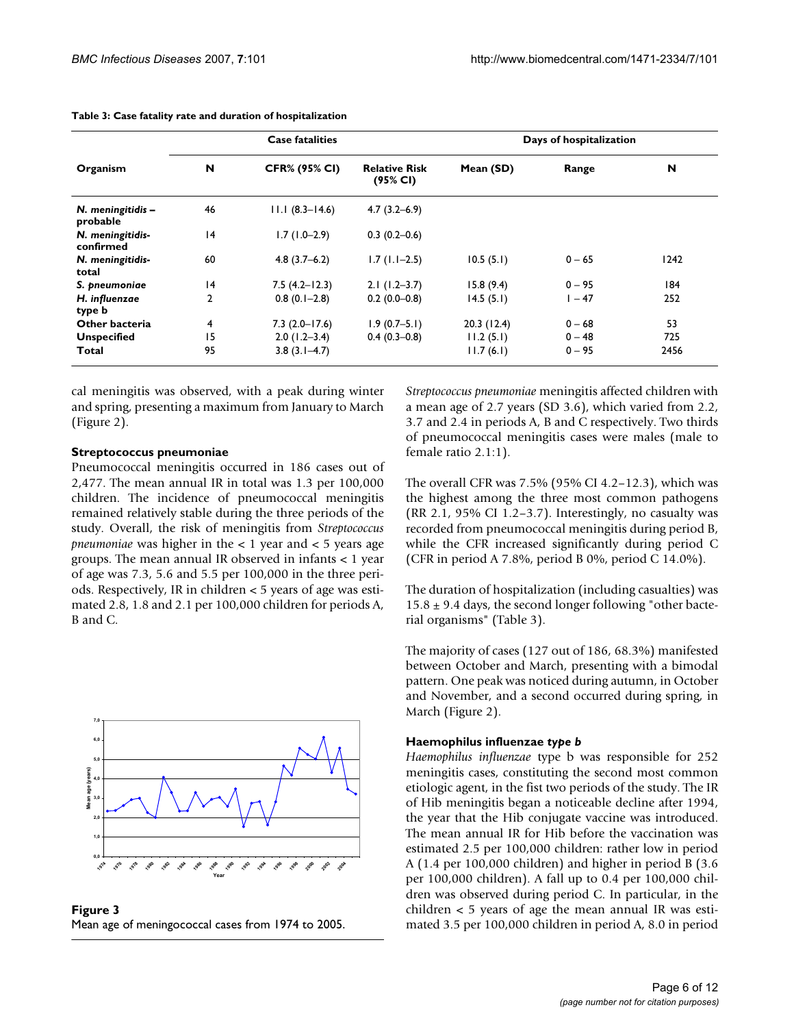|                                   |              | <b>Case fatalities</b> |                                  | Days of hospitalization |          |      |  |  |
|-----------------------------------|--------------|------------------------|----------------------------------|-------------------------|----------|------|--|--|
| Organism                          | N            | <b>CFR% (95% CI)</b>   | <b>Relative Risk</b><br>(95% CI) | Mean (SD)               | Range    | N    |  |  |
| $N.$ meningitidis $-$<br>probable | 46           | $11.1(8.3-14.6)$       | $4.7(3.2 - 6.9)$                 |                         |          |      |  |  |
| N. meningitidis-<br>confirmed     | 4            | $1.7(1.0-2.9)$         | $0.3(0.2-0.6)$                   |                         |          |      |  |  |
| N. meningitidis-<br>total         | 60           | $4.8(3.7-6.2)$         | $1.7(1.1-2.5)$                   | 10.5(5.1)               | $0 - 65$ | 1242 |  |  |
| S. pneumoniae                     | 4            | $7.5(4.2 - 12.3)$      | $2.1(1.2-3.7)$                   | 15.8(9.4)               | $0 - 95$ | 184  |  |  |
| H. influenzae<br>type b           | $\mathbf{2}$ | $0.8(0.1-2.8)$         | $0.2(0.0-0.8)$                   | 14.5(5.1)               | $1 - 47$ | 252  |  |  |
| Other bacteria                    | 4            | $7.3(2.0 - 17.6)$      | $1.9(0.7-5.1)$                   | 20.3(12.4)              | $0 - 68$ | 53   |  |  |
| <b>Unspecified</b>                | 15           | $2.0(1.2-3.4)$         | $0.4(0.3-0.8)$                   | 11.2(5.1)               | $0 - 48$ | 725  |  |  |
| Total                             | 95           | $3.8(3.1-4.7)$         |                                  | 11.7(6.1)               | $0 - 95$ | 2456 |  |  |

**Table 3: Case fatality rate and duration of hospitalization**

cal meningitis was observed, with a peak during winter and spring, presenting a maximum from January to March (Figure 2).

#### **Streptococcus pneumoniae**

Pneumococcal meningitis occurred in 186 cases out of 2,477. The mean annual IR in total was 1.3 per 100,000 children. The incidence of pneumococcal meningitis remained relatively stable during the three periods of the study. Overall, the risk of meningitis from *Streptococcus pneumoniae* was higher in the < 1 year and < 5 years age groups. The mean annual IR observed in infants < 1 year of age was 7.3, 5.6 and 5.5 per 100,000 in the three periods. Respectively, IR in children < 5 years of age was estimated 2.8, 1.8 and 2.1 per 100,000 children for periods A, B and C.



**Figure 3** Mean age of meningococcal cases from 1974 to 2005.

*Streptococcus pneumoniae* meningitis affected children with a mean age of 2.7 years (SD 3.6), which varied from 2.2, 3.7 and 2.4 in periods A, B and C respectively. Two thirds of pneumococcal meningitis cases were males (male to female ratio 2.1:1).

The overall CFR was 7.5% (95% CI 4.2–12.3), which was the highest among the three most common pathogens (RR 2.1, 95% CI 1.2–3.7). Interestingly, no casualty was recorded from pneumococcal meningitis during period B, while the CFR increased significantly during period C (CFR in period A 7.8%, period B 0%, period C 14.0%).

The duration of hospitalization (including casualties) was  $15.8 \pm 9.4$  days, the second longer following "other bacterial organisms" (Table 3).

The majority of cases (127 out of 186, 68.3%) manifested between October and March, presenting with a bimodal pattern. One peak was noticed during autumn, in October and November, and a second occurred during spring, in March (Figure 2).

#### **Haemophilus influenzae** *type b*

*Haemophilus influenzae* type b was responsible for 252 meningitis cases, constituting the second most common etiologic agent, in the fist two periods of the study. The IR of Hib meningitis began a noticeable decline after 1994, the year that the Hib conjugate vaccine was introduced. The mean annual IR for Hib before the vaccination was estimated 2.5 per 100,000 children: rather low in period A (1.4 per 100,000 children) and higher in period B (3.6 per 100,000 children). A fall up to 0.4 per 100,000 children was observed during period C. In particular, in the children < 5 years of age the mean annual IR was estimated 3.5 per 100,000 children in period A, 8.0 in period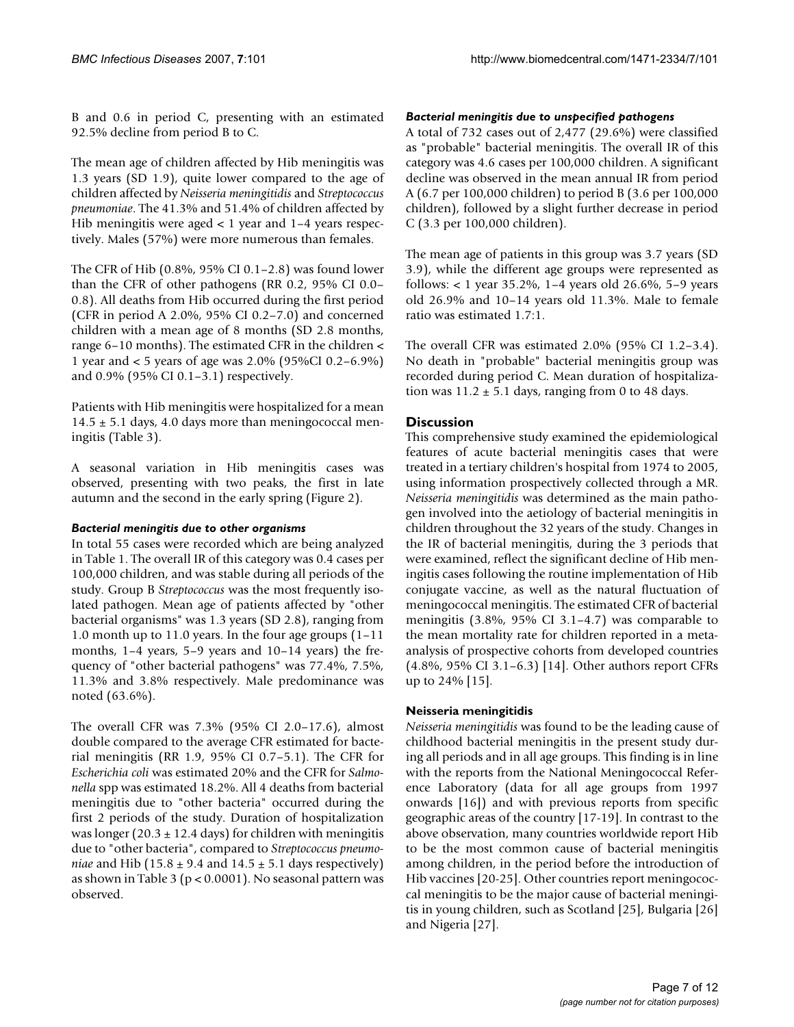B and 0.6 in period C, presenting with an estimated 92.5% decline from period B to C.

The mean age of children affected by Hib meningitis was 1.3 years (SD 1.9), quite lower compared to the age of children affected by *Neisseria meningitidis* and *Streptococcus pneumoniae*. The 41.3% and 51.4% of children affected by Hib meningitis were aged < 1 year and 1–4 years respectively. Males (57%) were more numerous than females.

The CFR of Hib (0.8%, 95% CI 0.1–2.8) was found lower than the CFR of other pathogens (RR 0.2, 95% CI 0.0– 0.8). All deaths from Hib occurred during the first period (CFR in period A 2.0%, 95% CI 0.2–7.0) and concerned children with a mean age of 8 months (SD 2.8 months, range 6–10 months). The estimated CFR in the children < 1 year and < 5 years of age was 2.0% (95%CI 0.2–6.9%) and 0.9% (95% CI 0.1–3.1) respectively.

Patients with Hib meningitis were hospitalized for a mean  $14.5 \pm 5.1$  days, 4.0 days more than meningococcal meningitis (Table 3).

A seasonal variation in Hib meningitis cases was observed, presenting with two peaks, the first in late autumn and the second in the early spring (Figure 2).

## *Bacterial meningitis due to other organisms*

In total 55 cases were recorded which are being analyzed in Table 1. The overall IR of this category was 0.4 cases per 100,000 children, and was stable during all periods of the study. Group B *Streptococcus* was the most frequently isolated pathogen. Mean age of patients affected by "other bacterial organisms" was 1.3 years (SD 2.8), ranging from 1.0 month up to 11.0 years. In the four age groups (1–11 months, 1–4 years, 5–9 years and 10–14 years) the frequency of "other bacterial pathogens" was 77.4%, 7.5%, 11.3% and 3.8% respectively. Male predominance was noted (63.6%).

The overall CFR was 7.3% (95% CI 2.0–17.6), almost double compared to the average CFR estimated for bacterial meningitis (RR 1.9, 95% CI 0.7–5.1). The CFR for *Escherichia coli* was estimated 20% and the CFR for *Salmonella* spp was estimated 18.2%. All 4 deaths from bacterial meningitis due to "other bacteria" occurred during the first 2 periods of the study. Duration of hospitalization was longer (20.3  $\pm$  12.4 days) for children with meningitis due to "other bacteria", compared to *Streptococcus pneumoniae* and Hib (15.8  $\pm$  9.4 and 14.5  $\pm$  5.1 days respectively) as shown in Table 3 (p < 0.0001). No seasonal pattern was observed.

## *Bacterial meningitis due to unspecified pathogens*

A total of 732 cases out of 2,477 (29.6%) were classified as "probable" bacterial meningitis. The overall IR of this category was 4.6 cases per 100,000 children. A significant decline was observed in the mean annual IR from period A (6.7 per 100,000 children) to period B (3.6 per 100,000 children), followed by a slight further decrease in period C (3.3 per 100,000 children).

The mean age of patients in this group was 3.7 years (SD 3.9), while the different age groups were represented as follows: < 1 year 35.2%, 1–4 years old 26.6%, 5–9 years old 26.9% and 10–14 years old 11.3%. Male to female ratio was estimated 1.7:1.

The overall CFR was estimated 2.0% (95% CI 1.2–3.4). No death in "probable" bacterial meningitis group was recorded during period C. Mean duration of hospitalization was  $11.2 \pm 5.1$  days, ranging from 0 to 48 days.

# **Discussion**

This comprehensive study examined the epidemiological features of acute bacterial meningitis cases that were treated in a tertiary children's hospital from 1974 to 2005, using information prospectively collected through a MR. *Neisseria meningitidis* was determined as the main pathogen involved into the aetiology of bacterial meningitis in children throughout the 32 years of the study. Changes in the IR of bacterial meningitis, during the 3 periods that were examined, reflect the significant decline of Hib meningitis cases following the routine implementation of Hib conjugate vaccine, as well as the natural fluctuation of meningococcal meningitis. The estimated CFR of bacterial meningitis (3.8%, 95% CI 3.1–4.7) was comparable to the mean mortality rate for children reported in a metaanalysis of prospective cohorts from developed countries (4.8%, 95% CI 3.1–6.3) [14]. Other authors report CFRs up to 24% [15].

## **Neisseria meningitidis**

*Neisseria meningitidis* was found to be the leading cause of childhood bacterial meningitis in the present study during all periods and in all age groups. This finding is in line with the reports from the National Meningococcal Reference Laboratory (data for all age groups from 1997 onwards [16]) and with previous reports from specific geographic areas of the country [17-19]. In contrast to the above observation, many countries worldwide report Hib to be the most common cause of bacterial meningitis among children, in the period before the introduction of Hib vaccines [20-25]. Other countries report meningococcal meningitis to be the major cause of bacterial meningitis in young children, such as Scotland [25], Bulgaria [26] and Nigeria [27].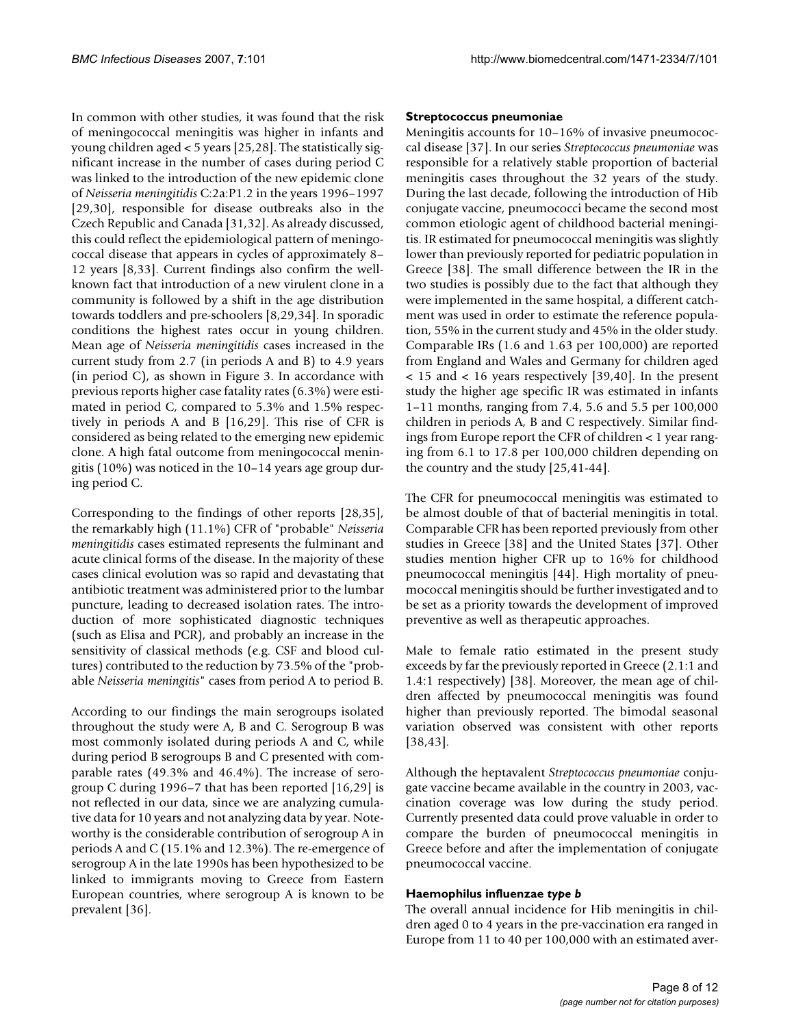In common with other studies, it was found that the risk of meningococcal meningitis was higher in infants and young children aged < 5 years [25,28]. The statistically significant increase in the number of cases during period C was linked to the introduction of the new epidemic clone of *Neisseria meningitidis* C:2a:P1.2 in the years 1996–1997 [29,30], responsible for disease outbreaks also in the Czech Republic and Canada [31,32]. As already discussed, this could reflect the epidemiological pattern of meningococcal disease that appears in cycles of approximately 8– 12 years [8,33]. Current findings also confirm the wellknown fact that introduction of a new virulent clone in a community is followed by a shift in the age distribution towards toddlers and pre-schoolers [8,29,34]. In sporadic conditions the highest rates occur in young children. Mean age of *Neisseria meningitidis* cases increased in the current study from 2.7 (in periods A and B) to 4.9 years (in period C), as shown in Figure 3. In accordance with previous reports higher case fatality rates (6.3%) were estimated in period C, compared to 5.3% and 1.5% respectively in periods A and B [16,29]. This rise of CFR is considered as being related to the emerging new epidemic clone. A high fatal outcome from meningococcal meningitis (10%) was noticed in the 10–14 years age group during period C.

Corresponding to the findings of other reports [28,35], the remarkably high (11.1%) CFR of "probable" *Neisseria meningitidis* cases estimated represents the fulminant and acute clinical forms of the disease. In the majority of these cases clinical evolution was so rapid and devastating that antibiotic treatment was administered prior to the lumbar puncture, leading to decreased isolation rates. The introduction of more sophisticated diagnostic techniques (such as Elisa and PCR), and probably an increase in the sensitivity of classical methods (e.g. CSF and blood cultures) contributed to the reduction by 73.5% of the "probable *Neisseria meningitis*" cases from period A to period B.

According to our findings the main serogroups isolated throughout the study were A, B and C. Serogroup B was most commonly isolated during periods A and C, while during period B serogroups B and C presented with comparable rates (49.3% and 46.4%). The increase of serogroup C during 1996–7 that has been reported [16,29] is not reflected in our data, since we are analyzing cumulative data for 10 years and not analyzing data by year. Noteworthy is the considerable contribution of serogroup A in periods A and C (15.1% and 12.3%). The re-emergence of serogroup A in the late 1990s has been hypothesized to be linked to immigrants moving to Greece from Eastern European countries, where serogroup A is known to be prevalent [36].

#### **Streptococcus pneumoniae**

Meningitis accounts for 10–16% of invasive pneumococcal disease [37]. In our series *Streptococcus pneumoniae* was responsible for a relatively stable proportion of bacterial meningitis cases throughout the 32 years of the study. During the last decade, following the introduction of Hib conjugate vaccine, pneumococci became the second most common etiologic agent of childhood bacterial meningitis. IR estimated for pneumococcal meningitis was slightly lower than previously reported for pediatric population in Greece [38]. The small difference between the IR in the two studies is possibly due to the fact that although they were implemented in the same hospital, a different catchment was used in order to estimate the reference population, 55% in the current study and 45% in the older study. Comparable IRs (1.6 and 1.63 per 100,000) are reported from England and Wales and Germany for children aged < 15 and < 16 years respectively [39,40]. In the present study the higher age specific IR was estimated in infants 1–11 months, ranging from 7.4, 5.6 and 5.5 per 100,000 children in periods A, B and C respectively. Similar findings from Europe report the CFR of children < 1 year ranging from 6.1 to 17.8 per 100,000 children depending on the country and the study [25,41-44].

The CFR for pneumococcal meningitis was estimated to be almost double of that of bacterial meningitis in total. Comparable CFR has been reported previously from other studies in Greece [38] and the United States [37]. Other studies mention higher CFR up to 16% for childhood pneumococcal meningitis [44]. High mortality of pneumococcal meningitis should be further investigated and to be set as a priority towards the development of improved preventive as well as therapeutic approaches.

Male to female ratio estimated in the present study exceeds by far the previously reported in Greece (2.1:1 and 1.4:1 respectively) [38]. Moreover, the mean age of children affected by pneumococcal meningitis was found higher than previously reported. The bimodal seasonal variation observed was consistent with other reports [38,43].

Although the heptavalent *Streptococcus pneumoniae* conjugate vaccine became available in the country in 2003, vaccination coverage was low during the study period. Currently presented data could prove valuable in order to compare the burden of pneumococcal meningitis in Greece before and after the implementation of conjugate pneumococcal vaccine.

## **Haemophilus influenzae** *type b*

The overall annual incidence for Hib meningitis in children aged 0 to 4 years in the pre-vaccination era ranged in Europe from 11 to 40 per 100,000 with an estimated aver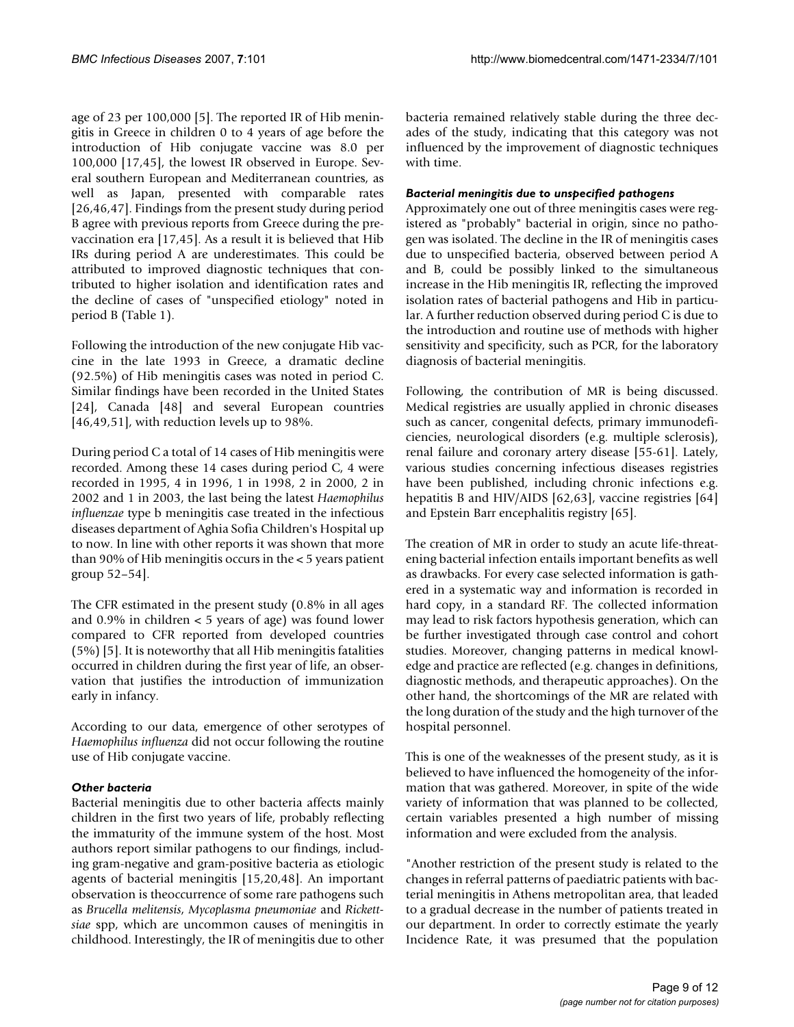age of 23 per 100,000 [5]. The reported IR of Hib meningitis in Greece in children 0 to 4 years of age before the introduction of Hib conjugate vaccine was 8.0 per 100,000 [17,45], the lowest IR observed in Europe. Several southern European and Mediterranean countries, as well as Japan, presented with comparable rates [26,46,47]. Findings from the present study during period B agree with previous reports from Greece during the prevaccination era [17,45]. As a result it is believed that Hib IRs during period A are underestimates. This could be attributed to improved diagnostic techniques that contributed to higher isolation and identification rates and the decline of cases of "unspecified etiology" noted in period B (Table 1).

Following the introduction of the new conjugate Hib vaccine in the late 1993 in Greece, a dramatic decline (92.5%) of Hib meningitis cases was noted in period C. Similar findings have been recorded in the United States [24], Canada [48] and several European countries [46,49,51], with reduction levels up to 98%.

During period C a total of 14 cases of Hib meningitis were recorded. Among these 14 cases during period C, 4 were recorded in 1995, 4 in 1996, 1 in 1998, 2 in 2000, 2 in 2002 and 1 in 2003, the last being the latest *Haemophilus influenzae* type b meningitis case treated in the infectious diseases department of Aghia Sofia Children's Hospital up to now. In line with other reports it was shown that more than 90% of Hib meningitis occurs in the < 5 years patient group 52–54].

The CFR estimated in the present study (0.8% in all ages and 0.9% in children < 5 years of age) was found lower compared to CFR reported from developed countries (5%) [5]. It is noteworthy that all Hib meningitis fatalities occurred in children during the first year of life, an observation that justifies the introduction of immunization early in infancy.

According to our data, emergence of other serotypes of *Haemophilus influenza* did not occur following the routine use of Hib conjugate vaccine.

## *Other bacteria*

Bacterial meningitis due to other bacteria affects mainly children in the first two years of life, probably reflecting the immaturity of the immune system of the host. Most authors report similar pathogens to our findings, including gram-negative and gram-positive bacteria as etiologic agents of bacterial meningitis [15,20,48]. An important observation is theoccurrence of some rare pathogens such as *Brucella melitensis*, *Mycoplasma pneumoniae* and *Rickettsiae* spp, which are uncommon causes of meningitis in childhood. Interestingly, the IR of meningitis due to other

bacteria remained relatively stable during the three decades of the study, indicating that this category was not influenced by the improvement of diagnostic techniques with time.

#### *Bacterial meningitis due to unspecified pathogens*

Approximately one out of three meningitis cases were registered as "probably" bacterial in origin, since no pathogen was isolated. The decline in the IR of meningitis cases due to unspecified bacteria, observed between period A and B, could be possibly linked to the simultaneous increase in the Hib meningitis IR, reflecting the improved isolation rates of bacterial pathogens and Hib in particular. A further reduction observed during period C is due to the introduction and routine use of methods with higher sensitivity and specificity, such as PCR, for the laboratory diagnosis of bacterial meningitis.

Following, the contribution of MR is being discussed. Medical registries are usually applied in chronic diseases such as cancer, congenital defects, primary immunodeficiencies, neurological disorders (e.g. multiple sclerosis), renal failure and coronary artery disease [55-61]. Lately, various studies concerning infectious diseases registries have been published, including chronic infections e.g. hepatitis B and HIV/AIDS [62,63], vaccine registries [64] and Epstein Barr encephalitis registry [65].

The creation of MR in order to study an acute life-threatening bacterial infection entails important benefits as well as drawbacks. For every case selected information is gathered in a systematic way and information is recorded in hard copy, in a standard RF. The collected information may lead to risk factors hypothesis generation, which can be further investigated through case control and cohort studies. Moreover, changing patterns in medical knowledge and practice are reflected (e.g. changes in definitions, diagnostic methods, and therapeutic approaches). On the other hand, the shortcomings of the MR are related with the long duration of the study and the high turnover of the hospital personnel.

This is one of the weaknesses of the present study, as it is believed to have influenced the homogeneity of the information that was gathered. Moreover, in spite of the wide variety of information that was planned to be collected, certain variables presented a high number of missing information and were excluded from the analysis.

"Another restriction of the present study is related to the changes in referral patterns of paediatric patients with bacterial meningitis in Athens metropolitan area, that leaded to a gradual decrease in the number of patients treated in our department. In order to correctly estimate the yearly Incidence Rate, it was presumed that the population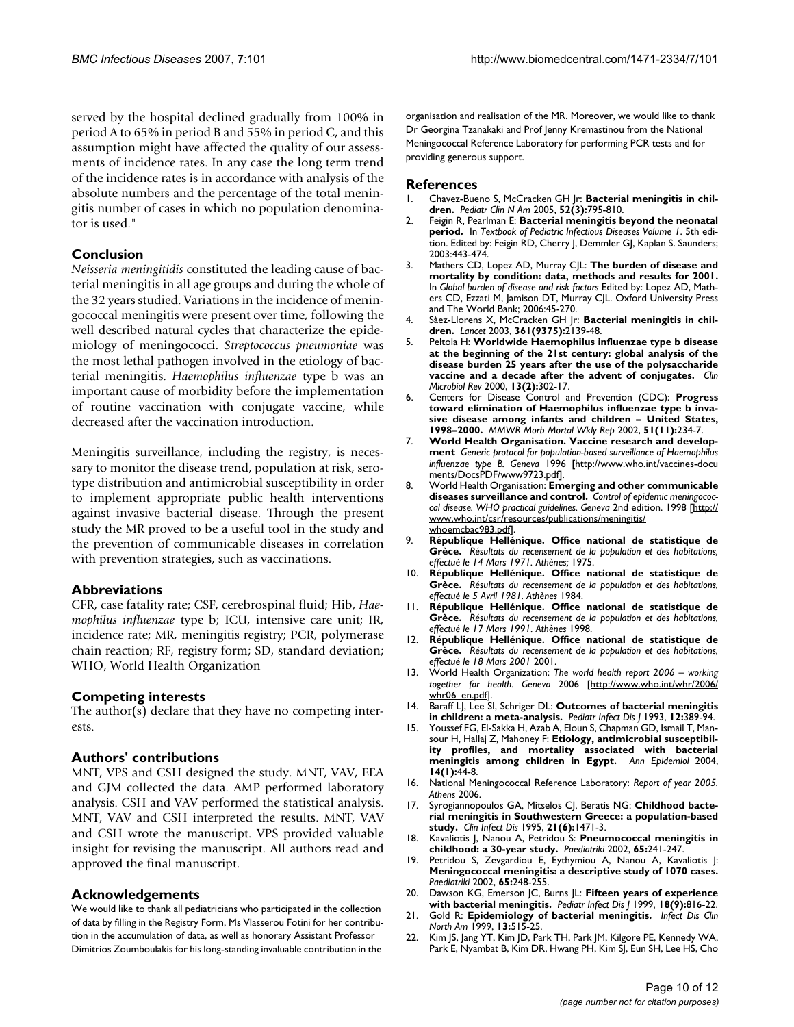served by the hospital declined gradually from 100% in period A to 65% in period B and 55% in period C, and this assumption might have affected the quality of our assessments of incidence rates. In any case the long term trend of the incidence rates is in accordance with analysis of the absolute numbers and the percentage of the total meningitis number of cases in which no population denominator is used."

## **Conclusion**

*Neisseria meningitidis* constituted the leading cause of bacterial meningitis in all age groups and during the whole of the 32 years studied. Variations in the incidence of meningococcal meningitis were present over time, following the well described natural cycles that characterize the epidemiology of meningococci. *Streptococcus pneumoniae* was the most lethal pathogen involved in the etiology of bacterial meningitis. *Haemophilus influenzae* type b was an important cause of morbidity before the implementation of routine vaccination with conjugate vaccine, while decreased after the vaccination introduction.

Meningitis surveillance, including the registry, is necessary to monitor the disease trend, population at risk, serotype distribution and antimicrobial susceptibility in order to implement appropriate public health interventions against invasive bacterial disease. Through the present study the MR proved to be a useful tool in the study and the prevention of communicable diseases in correlation with prevention strategies, such as vaccinations.

## **Abbreviations**

CFR, case fatality rate; CSF, cerebrospinal fluid; Hib, *Haemophilus influenzae* type b; ICU, intensive care unit; IR, incidence rate; MR, meningitis registry; PCR, polymerase chain reaction; RF, registry form; SD, standard deviation; WHO, World Health Organization

## **Competing interests**

The author(s) declare that they have no competing interests.

## **Authors' contributions**

MNT, VPS and CSH designed the study. MNT, VAV, EEA and GJM collected the data. AMP performed laboratory analysis. CSH and VAV performed the statistical analysis. MNT, VAV and CSH interpreted the results. MNT, VAV and CSH wrote the manuscript. VPS provided valuable insight for revising the manuscript. All authors read and approved the final manuscript.

## **Acknowledgements**

We would like to thank all pediatricians who participated in the collection of data by filling in the Registry Form, Ms Vlasserou Fotini for her contribution in the accumulation of data, as well as honorary Assistant Professor Dimitrios Zoumboulakis for his long-standing invaluable contribution in the

organisation and realisation of the MR. Moreover, we would like to thank Dr Georgina Tzanakaki and Prof Jenny Kremastinou from the National Meningococcal Reference Laboratory for performing PCR tests and for providing generous support.

#### **References**

- 1. Chavez-Bueno S, McCracken GH Jr: **Bacterial meningitis in children.** *Pediatr Clin N Am* 2005, **52(3):**795-810.
- 2. Feigin R, Pearlman E: **Bacterial meningitis beyond the neonatal period.** In *Textbook of Pediatric Infectious Diseases Volume 1*. 5th edition. Edited by: Feigin RD, Cherry J, Demmler GJ, Kaplan S. Saunders; 2003:443-474.
- 3. Mathers CD, Lopez AD, Murray CJL: **The burden of disease and mortality by condition: data, methods and results for 2001.** In *Global burden of disease and risk factors* Edited by: Lopez AD, Mathers CD, Ezzati M, Jamison DT, Murray CJL. Oxford University Press and The World Bank; 2006:45-270.
- 4. Sàez-Llorens X, McCracken GH Jr: **[Bacterial meningitis in chil](http://www.ncbi.nlm.nih.gov/entrez/query.fcgi?cmd=Retrieve&db=PubMed&dopt=Abstract&list_uids=12826449)[dren.](http://www.ncbi.nlm.nih.gov/entrez/query.fcgi?cmd=Retrieve&db=PubMed&dopt=Abstract&list_uids=12826449)** *Lancet* 2003, **361(9375):**2139-48.
- 5. Peltola H: **[Worldwide Haemophilus influenzae type b disease](http://www.ncbi.nlm.nih.gov/entrez/query.fcgi?cmd=Retrieve&db=PubMed&dopt=Abstract&list_uids=10756001) at the beginning of the 21st century: global analysis of the [disease burden 25 years after the use of the polysaccharide](http://www.ncbi.nlm.nih.gov/entrez/query.fcgi?cmd=Retrieve&db=PubMed&dopt=Abstract&list_uids=10756001) [vaccine and a decade after the advent of conjugates.](http://www.ncbi.nlm.nih.gov/entrez/query.fcgi?cmd=Retrieve&db=PubMed&dopt=Abstract&list_uids=10756001)** *Clin Microbiol Rev* 2000, **13(2):**302-17.
- 6. Centers for Disease Control and Prevention (CDC): **[Progress](http://www.ncbi.nlm.nih.gov/entrez/query.fcgi?cmd=Retrieve&db=PubMed&dopt=Abstract&list_uids=11925021) toward elimination of Haemophilus influenzae type b inva[sive disease among infants and children – United States,](http://www.ncbi.nlm.nih.gov/entrez/query.fcgi?cmd=Retrieve&db=PubMed&dopt=Abstract&list_uids=11925021) [1998–2000.](http://www.ncbi.nlm.nih.gov/entrez/query.fcgi?cmd=Retrieve&db=PubMed&dopt=Abstract&list_uids=11925021)** *MMWR Morb Mortal Wkly Rep* 2002, **51(11):**234-7.
- 7. **World Health Organisation. Vaccine research and development** *Generic protocol for population-based surveillance of Haemophilus influenzae type B. Geneva* 1996 [[http://www.who.int/vaccines-docu](http://www.who.int/vaccines-documents/DocsPDF/www9723.pdf) [ments/DocsPDF/www9723.pdf](http://www.who.int/vaccines-documents/DocsPDF/www9723.pdf)].
- 8. World Health Organisation: **Emerging and other communicable diseases surveillance and control.** *Control of epidemic meningococcal disease. WHO practical guidelines. Geneva* 2nd edition. 1998 [\[http://](http://www.who.int/csr/resources/publications/meningitis/whoemcbac983.pdf) [www.who.int/csr/resources/publications/meningitis/](http://www.who.int/csr/resources/publications/meningitis/whoemcbac983.pdf) [whoemcbac983.pdf](http://www.who.int/csr/resources/publications/meningitis/whoemcbac983.pdf)].
- 9. **République Hellénique. Office national de statistique de Grèce.** *Résultats du recensement de la population et des habitations, effectué le 14 Mars 1971. Athènes;* 1975.
- 10. **République Hellénique. Office national de statistique de Grèce.** *Résultats du recensement de la population et des habitations, effectué le 5 Avril 1981. Athènes* 1984.
- 11. **République Hellénique. Office national de statistique de Grèce.** *Résultats du recensement de la population et des habitations, effectué le 17 Mars 1991. Athènes* 1998.
- 12. **République Hellénique. Office national de statistique de Grèce.** *Résultats du recensement de la population et des habitations, effectué le 18 Mars 2001* 2001.
- 13. World Health Organization: *The world health report 2006 working together for health. Geneva* 2006 [[http://www.who.int/whr/2006/](http://www.who.int/whr/2006/whr06_en.pdf) [whr06\\_en.pdf\]](http://www.who.int/whr/2006/whr06_en.pdf).
- 14. Baraff LJ, Lee SI, Schriger DL: **[Outcomes of bacterial meningitis](http://www.ncbi.nlm.nih.gov/entrez/query.fcgi?cmd=Retrieve&db=PubMed&dopt=Abstract&list_uids=8327300) [in children: a meta-analysis.](http://www.ncbi.nlm.nih.gov/entrez/query.fcgi?cmd=Retrieve&db=PubMed&dopt=Abstract&list_uids=8327300)** *Pediatr Infect Dis J* 1993, **12:**389-94.
- 15. Youssef FG, El-Sakka H, Azab A, Eloun S, Chapman GD, Ismail T, Mansour H, Hallaj Z, Mahoney F: **[Etiology, antimicrobial susceptibil](http://www.ncbi.nlm.nih.gov/entrez/query.fcgi?cmd=Retrieve&db=PubMed&dopt=Abstract&list_uids=14664779)[ity profiles, and mortality associated with bacterial](http://www.ncbi.nlm.nih.gov/entrez/query.fcgi?cmd=Retrieve&db=PubMed&dopt=Abstract&list_uids=14664779) [meningitis among children in Egypt.](http://www.ncbi.nlm.nih.gov/entrez/query.fcgi?cmd=Retrieve&db=PubMed&dopt=Abstract&list_uids=14664779)** *Ann Epidemiol* 2004, **14(1):**44-8.
- 16. National Meningococcal Reference Laboratory: *Report of year 2005. Athens* 2006.
- 17. Syrogiannopoulos GA, Mitselos CJ, Beratis NG: **[Childhood bacte](http://www.ncbi.nlm.nih.gov/entrez/query.fcgi?cmd=Retrieve&db=PubMed&dopt=Abstract&list_uids=8749636)[rial meningitis in Southwestern Greece: a population-based](http://www.ncbi.nlm.nih.gov/entrez/query.fcgi?cmd=Retrieve&db=PubMed&dopt=Abstract&list_uids=8749636) [study.](http://www.ncbi.nlm.nih.gov/entrez/query.fcgi?cmd=Retrieve&db=PubMed&dopt=Abstract&list_uids=8749636)** *Clin Infect Dis* 1995, **21(6):**1471-3.
- 18. Kavaliotis J, Nanou A, Petridou S: **Pneumococcal meningitis in childhood: a 30-year study.** *Paediatriki* 2002, **65:**241-247.
- 19. Petridou S, Zevgardiou E, Eythymiou A, Nanou A, Kavaliotis J: **Meningococcal meningitis: a descriptive study of 1070 cases.** *Paediatriki* 2002, **65:**248-255.
- 20. Dawson KG, Emerson JC, Burns JL: **[Fifteen years of experience](http://www.ncbi.nlm.nih.gov/entrez/query.fcgi?cmd=Retrieve&db=PubMed&dopt=Abstract&list_uids=10493344) [with bacterial meningitis.](http://www.ncbi.nlm.nih.gov/entrez/query.fcgi?cmd=Retrieve&db=PubMed&dopt=Abstract&list_uids=10493344)** *Pediatr Infect Dis J* 1999, **18(9):**816-22.
- 21. Gold R: **[Epidemiology of bacterial meningitis.](http://www.ncbi.nlm.nih.gov/entrez/query.fcgi?cmd=Retrieve&db=PubMed&dopt=Abstract&list_uids=10470553)** *Infect Dis Clin North Am* 1999, **13:**515-25.
- 22. Kim JS, Jang YT, Kim JD, Park TH, Park JM, Kilgore PE, Kennedy WA, Park E, Nyambat B, Kim DR, Hwang PH, Kim SJ, Eun SH, Lee HS, Cho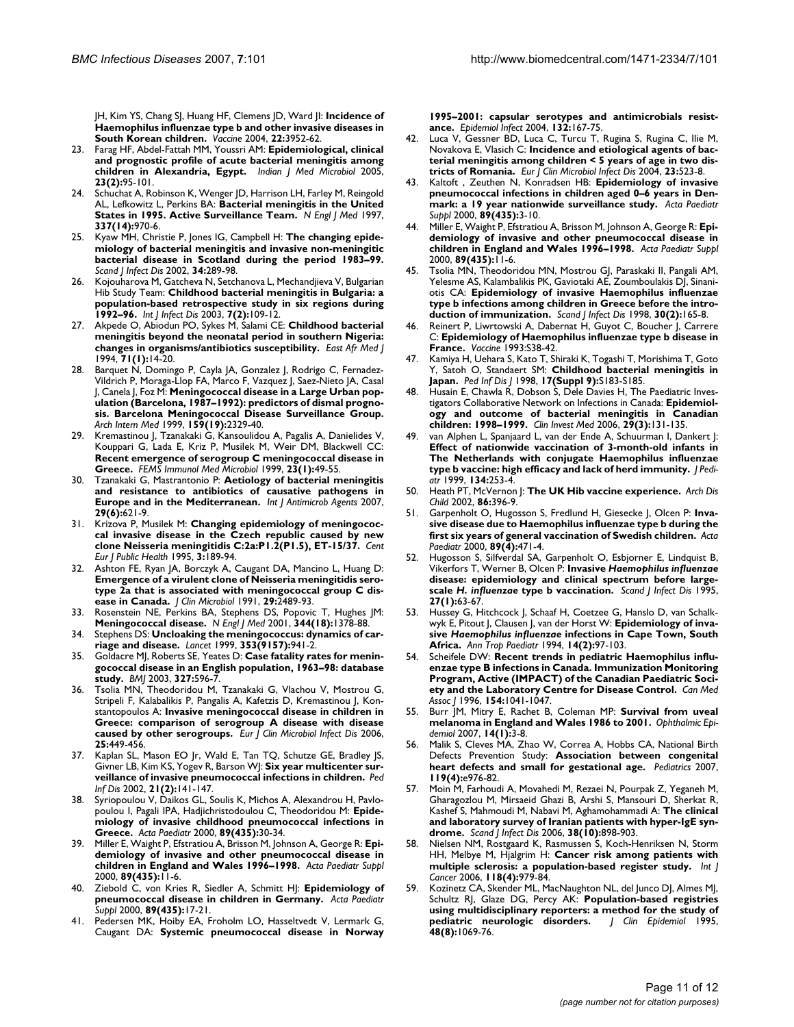JH, Kim YS, Chang SJ, Huang HF, Clemens JD, Ward JI: **[Incidence of](http://www.ncbi.nlm.nih.gov/entrez/query.fcgi?cmd=Retrieve&db=PubMed&dopt=Abstract&list_uids=15364444) [Haemophilus influenzae type b and other invasive diseases in](http://www.ncbi.nlm.nih.gov/entrez/query.fcgi?cmd=Retrieve&db=PubMed&dopt=Abstract&list_uids=15364444) [South Korean children.](http://www.ncbi.nlm.nih.gov/entrez/query.fcgi?cmd=Retrieve&db=PubMed&dopt=Abstract&list_uids=15364444)** *Vaccine* 2004, **22:**3952-62.

- 23. Farag HF, Abdel-Fattah MM, Youssri AM: **[Epidemiological, clinical](http://www.ncbi.nlm.nih.gov/entrez/query.fcgi?cmd=Retrieve&db=PubMed&dopt=Abstract&list_uids=15928437) [and prognostic profile of acute bacterial meningitis among](http://www.ncbi.nlm.nih.gov/entrez/query.fcgi?cmd=Retrieve&db=PubMed&dopt=Abstract&list_uids=15928437) [children in Alexandria, Egypt.](http://www.ncbi.nlm.nih.gov/entrez/query.fcgi?cmd=Retrieve&db=PubMed&dopt=Abstract&list_uids=15928437)** *Indian J Med Microbiol* 2005, **23(2):**95-101.
- 24. Schuchat A, Robinson K, Wenger JD, Harrison LH, Farley M, Reingold AL, Lefkowitz L, Perkins BA: **[Bacterial meningitis in the United](http://www.ncbi.nlm.nih.gov/entrez/query.fcgi?cmd=Retrieve&db=PubMed&dopt=Abstract&list_uids=9395430) [States in 1995. Active Surveillance Team.](http://www.ncbi.nlm.nih.gov/entrez/query.fcgi?cmd=Retrieve&db=PubMed&dopt=Abstract&list_uids=9395430)** *N Engl J Med* 1997, **337(14):**970-6.
- 25. Kyaw MH, Christie P, Jones IG, Campbell H: **[The changing epide](http://www.ncbi.nlm.nih.gov/entrez/query.fcgi?cmd=Retrieve&db=PubMed&dopt=Abstract&list_uids=12064693)miology of bacterial meningitis and invasive non-meningitic [bacterial disease in Scotland during the period 1983–99.](http://www.ncbi.nlm.nih.gov/entrez/query.fcgi?cmd=Retrieve&db=PubMed&dopt=Abstract&list_uids=12064693)** *Scand J Infect Dis* 2002, **34:**289-98.
- 26. Kojouharova M, Gatcheva N, Setchanova L, Mechandjieva V, Bulgarian Hib Study Team: **[Childhood bacterial meningitis in Bulgaria: a](http://www.ncbi.nlm.nih.gov/entrez/query.fcgi?cmd=Retrieve&db=PubMed&dopt=Abstract&list_uids=12839711) [population-based retrospective study in six regions during](http://www.ncbi.nlm.nih.gov/entrez/query.fcgi?cmd=Retrieve&db=PubMed&dopt=Abstract&list_uids=12839711) [1992–96.](http://www.ncbi.nlm.nih.gov/entrez/query.fcgi?cmd=Retrieve&db=PubMed&dopt=Abstract&list_uids=12839711)** *Int J Infect Dis* 2003, **7(2):**109-12.
- 27. Akpede O, Abiodun PO, Sykes M, Salami CE: **[Childhood bacterial](http://www.ncbi.nlm.nih.gov/entrez/query.fcgi?cmd=Retrieve&db=PubMed&dopt=Abstract&list_uids=8055756) [meningitis beyond the neonatal period in southern Nigeria:](http://www.ncbi.nlm.nih.gov/entrez/query.fcgi?cmd=Retrieve&db=PubMed&dopt=Abstract&list_uids=8055756) [changes in organisms/antibiotics susceptibility.](http://www.ncbi.nlm.nih.gov/entrez/query.fcgi?cmd=Retrieve&db=PubMed&dopt=Abstract&list_uids=8055756)** *East Afr Med J* 1994, **71(1):**14-20.
- 28. Barquet N, Domingo P, Cayla JA, Gonzalez J, Rodrigo C, Fernadez-Vildrich P, Moraga-Llop FA, Marco F, Vazquez J, Saez-Nieto JA, Casal J, Canela J, Foz M: **[Meningococcal disease in a Large Urban pop](http://www.ncbi.nlm.nih.gov/entrez/query.fcgi?cmd=Retrieve&db=PubMed&dopt=Abstract&list_uids=10547173)ulation (Barcelona, 1987–1992): predictors of dismal progno[sis. Barcelona Meningococcal Disease Surveillance Group.](http://www.ncbi.nlm.nih.gov/entrez/query.fcgi?cmd=Retrieve&db=PubMed&dopt=Abstract&list_uids=10547173)** *Arch Intern Med* 1999, **159(19):**2329-40.
- 29. Kremastinou J, Tzanakaki G, Kansoulidou A, Pagalis A, Danielides V, Kouppari G, Lada E, Kriz P, Musilek M, Weir DM, Blackwell CC: **[Recent emergence of serogroup C meningococcal disease in](http://www.ncbi.nlm.nih.gov/entrez/query.fcgi?cmd=Retrieve&db=PubMed&dopt=Abstract&list_uids=10030547) [Greece.](http://www.ncbi.nlm.nih.gov/entrez/query.fcgi?cmd=Retrieve&db=PubMed&dopt=Abstract&list_uids=10030547)** *FEMS Immunol Med Microbiol* 1999, **23(1):**49-55.
- 30. Tzanakaki G, Mastrantonio P: **[Aetiology of bacterial meningitis](http://www.ncbi.nlm.nih.gov/entrez/query.fcgi?cmd=Retrieve&db=PubMed&dopt=Abstract&list_uids=17368858) [and resistance to antibiotics of causative pathogens in](http://www.ncbi.nlm.nih.gov/entrez/query.fcgi?cmd=Retrieve&db=PubMed&dopt=Abstract&list_uids=17368858) [Europe and in the Mediterranean.](http://www.ncbi.nlm.nih.gov/entrez/query.fcgi?cmd=Retrieve&db=PubMed&dopt=Abstract&list_uids=17368858)** *Int J Antimicrob Agents* 2007, **29(6):**621-9.
- 31. Krizova P, Musilek M: **[Changing epidemiology of meningococ](http://www.ncbi.nlm.nih.gov/entrez/query.fcgi?cmd=Retrieve&db=PubMed&dopt=Abstract&list_uids=8903519)[cal invasive disease in the Czech republic caused by new](http://www.ncbi.nlm.nih.gov/entrez/query.fcgi?cmd=Retrieve&db=PubMed&dopt=Abstract&list_uids=8903519) [clone Neisseria meningitidis C:2a:P1.2\(P1.5\), ET-15/37.](http://www.ncbi.nlm.nih.gov/entrez/query.fcgi?cmd=Retrieve&db=PubMed&dopt=Abstract&list_uids=8903519)** *Cent Eur J Public Health* 1995, **3:**189-94.
- Ashton FE, Ryan JA, Borczyk A, Caugant DA, Mancino L, Huang D: **Emergence of a virulent clone of Neisseria meningitidis sero[type 2a that is associated with meningococcal group C dis](http://www.ncbi.nlm.nih.gov/entrez/query.fcgi?cmd=Retrieve&db=PubMed&dopt=Abstract&list_uids=1774254)[ease in Canada.](http://www.ncbi.nlm.nih.gov/entrez/query.fcgi?cmd=Retrieve&db=PubMed&dopt=Abstract&list_uids=1774254)** *J Clin Microbiol* 1991, **29:**2489-93.
- 33. Rosenstein NE, Perkins BA, Stephens DS, Popovic T, Hughes JM: **[Meningococcal disease.](http://www.ncbi.nlm.nih.gov/entrez/query.fcgi?cmd=Retrieve&db=PubMed&dopt=Abstract&list_uids=11333996)** *N Engl J Med* 2001, **344(18):**1378-88.
- 34. Stephens DS: **[Uncloaking the meningococcus: dynamics of car](http://www.ncbi.nlm.nih.gov/entrez/query.fcgi?cmd=Retrieve&db=PubMed&dopt=Abstract&list_uids=10459897)[riage and disease.](http://www.ncbi.nlm.nih.gov/entrez/query.fcgi?cmd=Retrieve&db=PubMed&dopt=Abstract&list_uids=10459897)** *Lancet* 1999, **353(9157):**941-2.
- 35. Goldacre MJ, Roberts SE, Yeates D: **[Case fatality rates for menin](http://www.ncbi.nlm.nih.gov/entrez/query.fcgi?cmd=Retrieve&db=PubMed&dopt=Abstract&list_uids=12969927)[gococcal disease in an English population, 1963–98: database](http://www.ncbi.nlm.nih.gov/entrez/query.fcgi?cmd=Retrieve&db=PubMed&dopt=Abstract&list_uids=12969927) [study.](http://www.ncbi.nlm.nih.gov/entrez/query.fcgi?cmd=Retrieve&db=PubMed&dopt=Abstract&list_uids=12969927)** *BMJ* 2003, **327:**596-7.
- 36. Tsolia MN, Theodoridou M, Tzanakaki G, Vlachou V, Mostrou G, Stripeli F, Kalabalikis P, Pangalis A, Kafetzis D, Kremastinou J, Konstantopoulos A: **[Invasive meningococcal disease in children in](http://www.ncbi.nlm.nih.gov/entrez/query.fcgi?cmd=Retrieve&db=PubMed&dopt=Abstract&list_uids=16773393) [Greece: comparison of serogroup A disease with disease](http://www.ncbi.nlm.nih.gov/entrez/query.fcgi?cmd=Retrieve&db=PubMed&dopt=Abstract&list_uids=16773393) [caused by other serogroups.](http://www.ncbi.nlm.nih.gov/entrez/query.fcgi?cmd=Retrieve&db=PubMed&dopt=Abstract&list_uids=16773393)** *Eur J Clin Microbiol Infect Dis* 2006, **25:**449-456.
- 37. Kaplan SL, Mason EO Jr, Wald E, Tan TQ, Schutze GE, Bradley JS, Givner LB, Kim KS, Yogev R, Barson WJ: **Six year multicenter surveillance of invasive pneumococcal infections in children.** *Ped Inf Dis* 2002, **21(2):**141-147.
- 38. Syriopoulou V, Daikos GL, Soulis K, Michos A, Alexandrou H, Pavlopoulou I, Pagali IPA, Hadjichristodoulou C, Theodoridou M: **Epidemiology of invasive childhood pneumococcal infections in Greece.** *Acta Paediatr* 2000, **89(435):**30-34.
- 39. Miller E, Waight P, Efstratiou A, Brisson M, Johnson A, George R: **[Epi](http://www.ncbi.nlm.nih.gov/entrez/query.fcgi?cmd=Retrieve&db=PubMed&dopt=Abstract&list_uids=11194790)[demiology of invasive and other pneumococcal disease in](http://www.ncbi.nlm.nih.gov/entrez/query.fcgi?cmd=Retrieve&db=PubMed&dopt=Abstract&list_uids=11194790) [children in England and Wales 1996–1998.](http://www.ncbi.nlm.nih.gov/entrez/query.fcgi?cmd=Retrieve&db=PubMed&dopt=Abstract&list_uids=11194790)** *Acta Paediatr Suppl* 2000, **89(435):**11-6.
- 40. Ziebold C, von Kries R, Siedler A, Schmitt HJ: **[Epidemiology of](http://www.ncbi.nlm.nih.gov/entrez/query.fcgi?cmd=Retrieve&db=PubMed&dopt=Abstract&list_uids=11194791) [pneumococcal disease in children in Germany.](http://www.ncbi.nlm.nih.gov/entrez/query.fcgi?cmd=Retrieve&db=PubMed&dopt=Abstract&list_uids=11194791)** *Acta Paediatr Suppl* 2000, **89(435):**17-21.
- 41. Pedersen MK, Hoiby EA, Froholm LO, Hasseltvedt V, Lermark G, Caugant DA: **[Systemic pneumococcal disease in Norway](http://www.ncbi.nlm.nih.gov/entrez/query.fcgi?cmd=Retrieve&db=PubMed&dopt=Abstract&list_uids=15061490)**

**[1995–2001: capsular serotypes and antimicrobials resist](http://www.ncbi.nlm.nih.gov/entrez/query.fcgi?cmd=Retrieve&db=PubMed&dopt=Abstract&list_uids=15061490)[ance.](http://www.ncbi.nlm.nih.gov/entrez/query.fcgi?cmd=Retrieve&db=PubMed&dopt=Abstract&list_uids=15061490)** *Epidemiol Infect* 2004, **132:**167-75.

- 42. Luca V, Gessner BD, Luca C, Turcu T, Rugina S, Rugina C, Ilie M, Novakova E, Vlasich C: **[Incidence and etiological agents of bac](http://www.ncbi.nlm.nih.gov/entrez/query.fcgi?cmd=Retrieve&db=PubMed&dopt=Abstract&list_uids=15257444)[terial meningitis among children < 5 years of age in two dis](http://www.ncbi.nlm.nih.gov/entrez/query.fcgi?cmd=Retrieve&db=PubMed&dopt=Abstract&list_uids=15257444)[tricts of Romania.](http://www.ncbi.nlm.nih.gov/entrez/query.fcgi?cmd=Retrieve&db=PubMed&dopt=Abstract&list_uids=15257444)** *Eur J Clin Microbiol Infect Dis* 2004, **23:**523-8.
- 43. Kaltoft , Zeuthen N, Konradsen HB: **[Epidemiology of invasive](http://www.ncbi.nlm.nih.gov/entrez/query.fcgi?cmd=Retrieve&db=PubMed&dopt=Abstract&list_uids=11194794) [pneumococcal infections in children aged 0–6 years in Den](http://www.ncbi.nlm.nih.gov/entrez/query.fcgi?cmd=Retrieve&db=PubMed&dopt=Abstract&list_uids=11194794)[mark: a 19 year nationwide surveillance study.](http://www.ncbi.nlm.nih.gov/entrez/query.fcgi?cmd=Retrieve&db=PubMed&dopt=Abstract&list_uids=11194794)** *Acta Paediatr Suppl* 2000, **89(435):**3-10.
- 44. Miller E, Waight P, Efstratiou A, Brisson M, Johnson A, George R: **[Epi](http://www.ncbi.nlm.nih.gov/entrez/query.fcgi?cmd=Retrieve&db=PubMed&dopt=Abstract&list_uids=11194790)[demiology of invasive and other pneumococcal disease in](http://www.ncbi.nlm.nih.gov/entrez/query.fcgi?cmd=Retrieve&db=PubMed&dopt=Abstract&list_uids=11194790) [children in England and Wales 1996–1998.](http://www.ncbi.nlm.nih.gov/entrez/query.fcgi?cmd=Retrieve&db=PubMed&dopt=Abstract&list_uids=11194790)** *Acta Paediatr Suppl* 2000, **89(435):**11-6.
- 45. Tsolia MN, Theodoridou MN, Mostrou GJ, Paraskaki II, Pangali AM, Yelesme AS, Kalambalikis PK, Gaviotaki AE, Zoumboulakis DJ, Sinaniotis CA: **[Epidemiology of invasive Haemophilus influenzae](http://www.ncbi.nlm.nih.gov/entrez/query.fcgi?cmd=Retrieve&db=PubMed&dopt=Abstract&list_uids=9730304) [type b infections among children in Greece before the intro](http://www.ncbi.nlm.nih.gov/entrez/query.fcgi?cmd=Retrieve&db=PubMed&dopt=Abstract&list_uids=9730304)[duction of immunization.](http://www.ncbi.nlm.nih.gov/entrez/query.fcgi?cmd=Retrieve&db=PubMed&dopt=Abstract&list_uids=9730304)** *Scand J Infect Dis* 1998, **30(2):**165-8.
- Reinert P, Liwrtowski A, Dabernat H, Guyot C, Boucher J, Carrere C: **Epidemiology of Haemophilus influenzae type b disease in France.** *Vaccine* 1993:S38-42.
- 47. Kamiya H, Uehara S, Kato T, Shiraki K, Togashi T, Morishima T, Goto Y, Satoh O, Standaert SM: **Childhood bacterial meningitis in Japan.** *Ped Inf Dis J* 1998, **17(Suppl 9):**S183-S185.
- 48. Husain E, Chawla R, Dobson S, Dele Davies H, The Paediatric Investigators Collaborative Network on Infections in Canada: **[Epidemiol](http://www.ncbi.nlm.nih.gov/entrez/query.fcgi?cmd=Retrieve&db=PubMed&dopt=Abstract&list_uids=17058430)[ogy and outcome of bacterial meningitis in Canadian](http://www.ncbi.nlm.nih.gov/entrez/query.fcgi?cmd=Retrieve&db=PubMed&dopt=Abstract&list_uids=17058430) [children: 1998–1999.](http://www.ncbi.nlm.nih.gov/entrez/query.fcgi?cmd=Retrieve&db=PubMed&dopt=Abstract&list_uids=17058430)** *Clin Invest Med* 2006, **29(3):**131-135.
- 49. van Alphen L, Spanjaard L, van der Ende A, Schuurman I, Dankert J: **Effect of nationwide vaccination of 3-month-old infants in The Netherlands with conjugate Haemophilus influenzae type b vaccine: high efficacy and lack of herd immunity.** *J Pediatr* 1999, **134:**253-4.
- 50. Heath PT, McVernon J: **[The UK Hib vaccine experience.](http://www.ncbi.nlm.nih.gov/entrez/query.fcgi?cmd=Retrieve&db=PubMed&dopt=Abstract&list_uids=12023165)** *Arch Dis Child* 2002, **86:**396-9.
- 51. Garpenholt O, Hugosson S, Fredlund H, Giesecke J, Olcen P: **[Inva](http://www.ncbi.nlm.nih.gov/entrez/query.fcgi?cmd=Retrieve&db=PubMed&dopt=Abstract&list_uids=10830462)[sive disease due to Haemophilus influenzae type b during the](http://www.ncbi.nlm.nih.gov/entrez/query.fcgi?cmd=Retrieve&db=PubMed&dopt=Abstract&list_uids=10830462) [first six years of general vaccination of Swedish children.](http://www.ncbi.nlm.nih.gov/entrez/query.fcgi?cmd=Retrieve&db=PubMed&dopt=Abstract&list_uids=10830462)** *Acta Paediatr* 2000, **89(4):**471-4.
- Hugosson S, Silfverdal SA, Garpenholt O, Esbjorner E, Lindquist B, Vikerfors T, Werner B, Olcen P: **Invasive** *Haemophilus influenzae* **disease: epidemiology and clinical spectrum before largescale** *H. influenzae* **[type b vaccination.](http://www.ncbi.nlm.nih.gov/entrez/query.fcgi?cmd=Retrieve&db=PubMed&dopt=Abstract&list_uids=7784816)** *Scand J Infect Dis* 1995, **27(1):**63-67.
- 53. Hussey G, Hitchcock J, Schaaf H, Coetzee G, Hanslo D, van Schalkwyk E, Pitout J, Clausen J, van der Horst W: **Epidemiology of invasive** *Haemophilus influenzae* **[infections in Cape Town, South](http://www.ncbi.nlm.nih.gov/entrez/query.fcgi?cmd=Retrieve&db=PubMed&dopt=Abstract&list_uids=7521637) [Africa.](http://www.ncbi.nlm.nih.gov/entrez/query.fcgi?cmd=Retrieve&db=PubMed&dopt=Abstract&list_uids=7521637)** *Ann Trop Paediatr* 1994, **14(2):**97-103.
- 54. Scheifele DW: **Recent trends in pediatric Haemophilus influenzae type B infections in Canada. Immunization Monitoring Program, Active (IMPACT) of the Canadian Paediatric Society and the Laboratory Centre for Disease Control.** *Can Med Assoc J* 1996, **154:**1041-1047.
- 55. Burr JM, Mitry E, Rachet B, Coleman MP: **[Survival from uveal](http://www.ncbi.nlm.nih.gov/entrez/query.fcgi?cmd=Retrieve&db=PubMed&dopt=Abstract&list_uids=17365812) [melanoma in England and Wales 1986 to 2001.](http://www.ncbi.nlm.nih.gov/entrez/query.fcgi?cmd=Retrieve&db=PubMed&dopt=Abstract&list_uids=17365812)** *Ophthalmic Epidemiol* 2007, **14(1):**3-8.
- 56. Malik S, Cleves MA, Zhao W, Correa A, Hobbs CA, National Birth Defects Prevention Study: **[Association between congenital](http://www.ncbi.nlm.nih.gov/entrez/query.fcgi?cmd=Retrieve&db=PubMed&dopt=Abstract&list_uids=17387169) [heart defects and small for gestational age.](http://www.ncbi.nlm.nih.gov/entrez/query.fcgi?cmd=Retrieve&db=PubMed&dopt=Abstract&list_uids=17387169)** *Pediatrics* 2007, **119(4):**e976-82.
- 57. Moin M, Farhoudi A, Movahedi M, Rezaei N, Pourpak Z, Yeganeh M, Gharagozlou M, Mirsaeid Ghazi B, Arshi S, Mansouri D, Sherkat R, Kashef S, Mahmoudi M, Nabavi M, Aghamohammadi A: **[The clinical](http://www.ncbi.nlm.nih.gov/entrez/query.fcgi?cmd=Retrieve&db=PubMed&dopt=Abstract&list_uids=17008235) [and laboratory survey of Iranian patients with hyper-IgE syn](http://www.ncbi.nlm.nih.gov/entrez/query.fcgi?cmd=Retrieve&db=PubMed&dopt=Abstract&list_uids=17008235)[drome.](http://www.ncbi.nlm.nih.gov/entrez/query.fcgi?cmd=Retrieve&db=PubMed&dopt=Abstract&list_uids=17008235)** *Scand J Infect Dis* 2006, **38(10):**898-903.
- Nielsen NM, Rostgaard K, Rasmussen S, Koch-Henriksen N, Storm HH, Melbye M, Hjalgrim H: **[Cancer risk among patients with](http://www.ncbi.nlm.nih.gov/entrez/query.fcgi?cmd=Retrieve&db=PubMed&dopt=Abstract&list_uids=16152598) [multiple sclerosis: a population-based register study.](http://www.ncbi.nlm.nih.gov/entrez/query.fcgi?cmd=Retrieve&db=PubMed&dopt=Abstract&list_uids=16152598)** *Int J Cancer* 2006, **118(4):**979-84.
- 59. Kozinetz CA, Skender ML, MacNaughton NL, del Junco DJ, Almes MJ, Schultz RJ, Glaze DG, Percy AK: **[Population-based registries](http://www.ncbi.nlm.nih.gov/entrez/query.fcgi?cmd=Retrieve&db=PubMed&dopt=Abstract&list_uids=7775994) [using multidisciplinary reporters: a method for the study of](http://www.ncbi.nlm.nih.gov/entrez/query.fcgi?cmd=Retrieve&db=PubMed&dopt=Abstract&list_uids=7775994) [pediatric neurologic disorders.](http://www.ncbi.nlm.nih.gov/entrez/query.fcgi?cmd=Retrieve&db=PubMed&dopt=Abstract&list_uids=7775994)** *J Clin Epidemiol* 1995, **48(8):**1069-76.